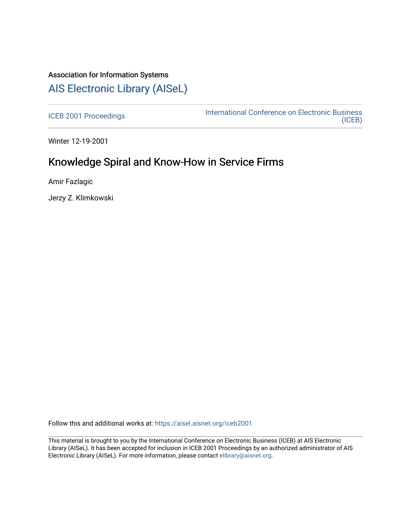# Association for Information Systems [AIS Electronic Library \(AISeL\)](https://aisel.aisnet.org/)

[ICEB 2001 Proceedings](https://aisel.aisnet.org/iceb2001) **International Conference on Electronic Business** [\(ICEB\)](https://aisel.aisnet.org/iceb) 

Winter 12-19-2001

# Knowledge Spiral and Know-How in Service Firms

Amir Fazlagic

Jerzy Z. Klimkowski

Follow this and additional works at: [https://aisel.aisnet.org/iceb2001](https://aisel.aisnet.org/iceb2001?utm_source=aisel.aisnet.org%2Ficeb2001%2F165&utm_medium=PDF&utm_campaign=PDFCoverPages)

This material is brought to you by the International Conference on Electronic Business (ICEB) at AIS Electronic Library (AISeL). It has been accepted for inclusion in ICEB 2001 Proceedings by an authorized administrator of AIS Electronic Library (AISeL). For more information, please contact [elibrary@aisnet.org.](mailto:elibrary@aisnet.org%3E)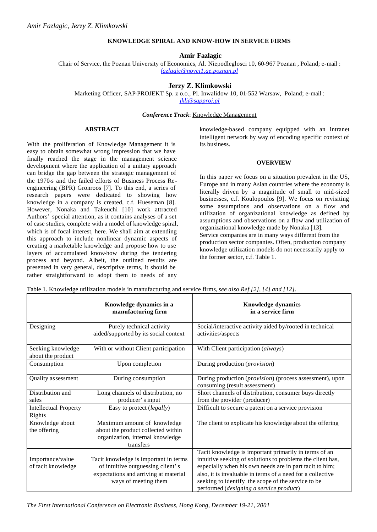## **KNOWLEDGE SPIRAL AND KNOW-HOW IN SERVICE FIRMS**

## **Amir Fazlagic**

Chair of Service, the Poznan University of Economics, Al. Niepodleglosci 10, 60-967 Poznan , Poland; e-mail : *fazlagic@novci1.ae.poznan.pl*

## **Jerzy Z. Klimkowski**

Marketing Officer, SAP-PROJEKT Sp. z o.o., Pl. Inwalidow 10, 01-552 Warsaw, Poland; e-mail : *jkli@sapproj.pl*

# *Conference Track*: Knowledge Management

## **ABSTRACT**

With the proliferation of Knowledge Management it is easy to obtain somewhat wrong impression that we have finally reached the stage in the management science development where the application of a unitary approach can bridge the gap between the strategic management of the 1970-s and the failed efforts of Business Process Reengineering (BPR) Gronroos [7]. To this end, a series of research papers were dedicated to showing how knowledge in a company is created, c.f. Hueseman [8]. However, Nonaka and Takeuchi [10] work attracted Authors' special attention, as it contains analyses of a set of case studies, complete with a model of knowledge spiral, which is of focal interest, here. We shall aim at extending this approach to include nonlinear dynamic aspects of creating a marketable knowledge and propose how to use layers of accumulated know-how during the tendering process and beyond. Albeit, the outlined results are presented in very general, descriptive terms, it should be rather straightforward to adopt them to needs of any

knowledge-based company equipped with an intranet intelligent network by way of encoding specific context of its business.

#### **OVERVIEW**

In this paper we focus on a situation prevalent in the US, Europe and in many Asian countries where the economy is literally driven by a magnitude of small to mid-sized businesses, c.f. Koulopoulos [9]. We focus on revisiting some assumptions and observations on a flow and utilization of organizational knowledge as defined by assumptions and observations on a flow and utilization of organizational knowledge made by Nonaka [13]. Service companies are in many ways different from the production sector companies. Often, production company knowledge utilization models do not necessarily apply to the former sector, c.f. Table 1.

|                                        | Knowledge dynamics in a<br>manufacturing firm                                                                                               | <b>Knowledge dynamics</b><br>in a service firm                                                                                                                                                                                                                                                                                                |
|----------------------------------------|---------------------------------------------------------------------------------------------------------------------------------------------|-----------------------------------------------------------------------------------------------------------------------------------------------------------------------------------------------------------------------------------------------------------------------------------------------------------------------------------------------|
| Designing                              | Purely technical activity<br>aided/supported by its social context                                                                          | Social/interactive activity aided by/rooted in technical<br>activities/aspects                                                                                                                                                                                                                                                                |
| Seeking knowledge<br>about the product | With or without Client participation                                                                                                        | With Client participation (always)                                                                                                                                                                                                                                                                                                            |
| Consumption                            | Upon completion                                                                                                                             | During production ( <i>provision</i> )                                                                                                                                                                                                                                                                                                        |
| Quality as sessment                    | During consumption                                                                                                                          | During production ( <i>provision</i> ) (process assessment), upon<br>consuming (result assessment)                                                                                                                                                                                                                                            |
| Distribution and<br>sales              | Long channels of distribution, no<br>producer' s input                                                                                      | Short channels of distribution, consumer buys directly<br>from the provider (producer)                                                                                                                                                                                                                                                        |
| <b>Intellectual Property</b><br>Rights | Easy to protect (legally)                                                                                                                   | Difficult to secure a patent on a service provision                                                                                                                                                                                                                                                                                           |
| Knowledge about<br>the offering        | Maximum amount of knowledge<br>about the product collected within<br>organization, internal knowledge<br>transfers                          | The client to explicate his knowledge about the offering                                                                                                                                                                                                                                                                                      |
| Importance/value<br>of tacit knowledge | Tacit knowledge is important in terms<br>of intuitive outguessing client's<br>expectations and arriving at material<br>ways of meeting them | Tacit knowledge is important primarily in terms of an<br>intuitive seeking of solutions to problems the client has,<br>especially when his own needs are in part tacit to him;<br>also, it is invaluable in terms of a need for a collective<br>seeking to identify the scope of the service to be<br>performed (designing a service product) |

Table 1. Knowledge utilization models in manufacturing and service firms, *see also Ref [2], [4] and [12].*

*The First International Conference on Electronic Business, Hong Kong, December 19-21, 2001*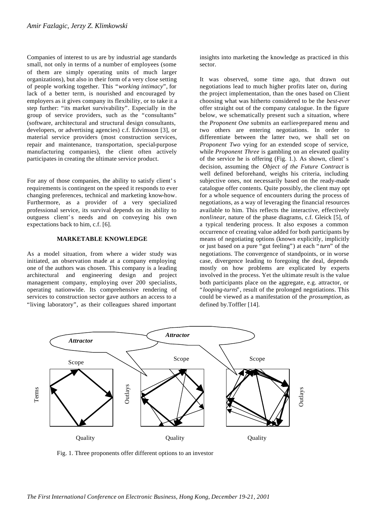Companies of interest to us are by industrial age standards small, not only in terms of a number of employees (some of them are simply operating units of much larger organizations), but also in their form of a very close setting of people working together. This "*working intimacy*", for lack of a better term, is nourished and encouraged by employers as it gives company its flexibility, or to take it a step further: "its market survivability". Especially in the group of service providers, such as the "consultants" (software, architectural and structural design consultants, developers, or advertising agencies) c.f. Edvinsson [3], or material service providers (most construction services, repair and maintenance, transportation, special-purpose manufacturing companies), the client often actively participates in creating the ultimate service product.

For any of those companies, the ability to satisfy client's requirements is contingent on the speed it responds to ever changing preferences, technical and marketing know-how. Furthermore, as a provider of a very specialized professional service, its survival depends on its ability to outguess client's needs and on conveying his own expectations back to him, c.f. [6].

# **MARKETABLE KNOWLEDGE**

As a model situation, from where a wider study was initiated, an observation made at a company employing one of the authors was chosen. This company is a leading architectural and engineering design and project management company, employing over 200 specialists, operating nationwide. Its comprehensive rendering of services to construction sector gave authors an access to a "living laboratory", as their colleagues shared important

insights into marketing the knowledge as practiced in this sector.

It was observed, some time ago, that drawn out negotiations lead to much higher profits later on, during the project implementation, than the ones based on Client choosing what was hitherto considered to be the *best-ever* offer straight out of the company catalogue. In the figure below, we schematically present such a situation, where the *Proponent One* submits an earlier-prepared menu and two others are entering negotiations. In order to differentiate between the latter two, we shall set on *Proponent Two* vying for an extended scope of service, while *Proponent Three* is gambling on an elevated quality of the service he is offering (Fig. 1.). As shown, client's decision, assuming the *Object of the Future Contract* is well defined beforehand, weighs his criteria, including subjective ones, not necessarily based on the ready-made catalogue offer contents. Quite possibly, the client may opt for a whole sequence of encounters during the process of negotiations, as a way of leveraging the financial resources available to him. This reflects the interactive, effectively *nonlinear*, nature of the phase diagrams, c.f. Gleick [5], of a typical tendering process. It also exposes a common occurrence of creating value added for both participants by means of negotiating options (known explicitly, implicitly or just based on a pure "gut feeling") at each "*turn*" of the negotiations. The convergence of standpoints, or in worse case, divergence leading to foregoing the deal, depends mostly on how problems are explicated by experts involved in the process. Yet the ultimate result is the value both participants place on the aggregate, e.g. attractor, or "*looping-turns*", result of the prolonged negotiations. This could be viewed as a manifestation of the *prosumption*, as defined by.Toffler [14].



Fig. 1. Three proponents offer different options to an investor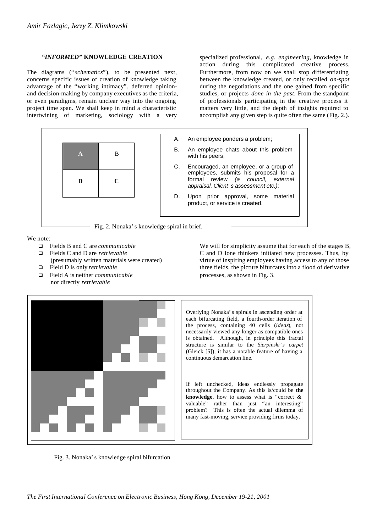# *"INFORMED"* **KNOWLEDGE CREATION**

The diagrams ("*schematics*"), to be presented next, concerns specific issues of creation of knowledge taking advantage of the "working intimacy", deferred opinionand decision-making by company executives as the criteria, or even paradigms, remain unclear way into the ongoing project time span. We shall keep in mind a characteristic intertwining of marketing, sociology with a very

specialized professional, *e.g. engineering*, knowledge in action during this complicated creative process. Furthermore, from now on we shall stop differentiating between the knowledge created, or only recalled *on-spot* during the negotiations and the one gained from specific studies, or projects *done in the past*. From the standpoint of professionals participating in the creative process it matters very little, and the depth of insights required to accomplish any given step is quite often the same (Fig. 2.).



We note:

- q Fields B and C are *communicable*
- q Fields C and D are *retrievable* (presumably written materials were created)
- q Field D is only *retrievable*
- q Field A is neither *communicable* nor directly *retrievable*

We will for simplicity assume that for each of the stages B, C and D lone thinkers initiated new processes. Thus, by virtue of inspiring employees having access to any of those three fields, the picture bifurcates into a flood of derivative processes, as shown in Fig. 3.



Overlying Nonaka's spirals in ascending order at each bifurcating field, a fourth-order iteration of the process, containing 40 cells (*ideas*), not necessarily viewed any longer as compatible ones is obtained. Although, in principle this fractal structure is similar to the *Sierpinski's carpet* (Gleick [5]), it has a notable feature of having a continuous demarcation line.

If left unchecked, ideas endlessly propagate throughout the Company. As this is/could be **the knowledge**, how to assess what is "correct & valuable" rather than just "an interesting" problem? This is often the actual dilemma of many fast-moving, service providing firms today.

Fig. 3. Nonaka's knowledge spiral bifurcation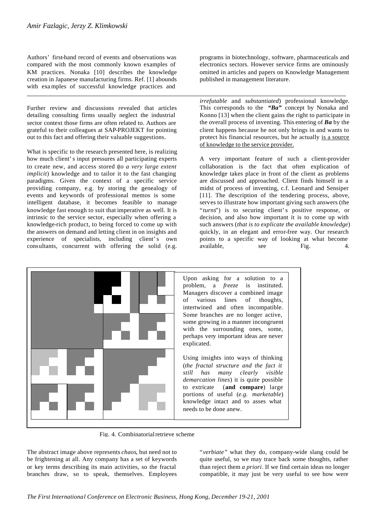Authors' first-hand record of events and observations was compared with the most commonly known examples of KM practices. Nonaka [10] describes the knowledge creation in Japanese manufacturing firms. Ref. [1] abounds with examples of successful knowledge practices and

Further review and discussions revealed that articles detailing consulting firms usually neglect the industrial sector context those firms are often related to. Authors are grateful to their colleagues at SAP-PROJEKT for pointing out to this fact and offering their valuable suggestions.

What is specific to the research presented here, is realizing how much client's input pressures all participating experts to create new, and access stored (*to a very large extent implicit*) knowledge and to tailor it to the fast changing paradigms. Given the context of a specific service providing company, e.g. by storing the genealogy of events and keywords of professional memos is some intelligent database, it becomes feasible to manage knowledge fast enough to suit that imperative as well. It is intrinsic to the service sector, especially when offering a knowledge-rich product, to being forced to come up with the answers on demand and letting client in on insights and experience of specialists, including client's own consultants, concurrent with offering the solid (e.g. programs in biotechnology, software, pharmaceuticals and electronics sectors. However service firms are ominously omitted in articles and papers on Knowledge Management published in management literature.

*irrefutable* and *substantiated*) professional knowledge. This corresponds to the *"Ba"* concept by Nonaka and Konno [13] when the client gains the right to participate in the overall process of inventing. This entering of *Ba* by the client happens because he not only brings in and wants to protect his financial resources, but he actually is a source of knowledge to the service provider.

A very important feature of such a client-provider collaboration is the fact that often explication of knowledge takes place in front of the client as problems are discussed and approached. Client finds himself in a midst of process of inventing, c.f. Leonard and Sensiper [11]. The description of the tendering process, above, serves to illustrate how important giving such answers (the "turns") is to securing client's positive response, or decision, and also how important it is to come up with such answers (*that is to explicate the available knowledge*) quickly, in an elegant and error-free way. Our research points to a specific way of looking at what become available, see Fig. 4.



Fig. 4. Combinatorial retrieve scheme

The abstract image above represents *chaos*, but need not to be frightening at all. Any company has a set of keywords or key terms describing its main activities, so the fractal branches draw, so to speak, themselves. Employees "*verbiate"* what they do, company-wide slang could be quite useful, so we may trace back some thoughts, rather than reject them *a priori*. If we find certain ideas no longer compatible, it may just be very useful to see how were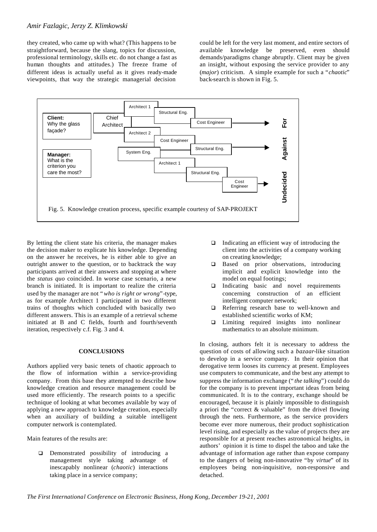# *Amir Fazlagic, Jerzy Z. Klimkowski*

they created, who came up with what? (This happens to be straightforward, because the slang, topics for discussion, professional terminology, skills etc. do not change a fast as human thoughts and attitudes.) The freeze frame of different ideas is actually useful as it gives ready-made viewpoints, that way the strategic managerial decision

could be left for the very last moment, and entire sectors of available knowledge be preserved, even should demands/paradigms change abruptly. Client may be given an insight, without exposing the service provider to any (*major*) criticism. A simple example for such a "*chaotic*" back-search is shown in Fig. 5.



By letting the client state his criteria, the manager makes the decision maker to explicate his knowledge. Depending on the answer he receives, he is either able to give an outright answer to the question, or to backtrack the way participants arrived at their answers and stopping at where the *status quo* coincided. In worse case scenario, a new branch is initiated. It is important to realize the criteria used by the manager are not "*who is right or wrong*"-type, as for example Architect 1 participated in two different trains of thoughts which concluded with basically two different answers. This is an example of a retrieval scheme initiated at B and C fields, fourth and fourth/seventh iteration, respectively c.f. Fig. 3 and 4.

### **CONCLUSIONS**

Authors applied very basic tenets of chaotic approach to the flow of information within a service-providing company. From this base they attempted to describe how knowledge creation and resource management could be used more efficiently. The research points to a specific technique of looking at what becomes available by way of applying a new approach to knowledge creation, especially when an auxiliary of building a suitable intelligent computer network is contemplated.

Main features of the results are:

 $\Box$  Demonstrated possibility of introducing a management style taking advantage of inescapably nonlinear (*chaotic*) interactions taking place in a service company;

- $\Box$  Indicating an efficient way of introducing the client into the activities of a company working on creating knowledge;
- $\Box$  Based on prior observations, introducing implicit and explicit knowledge into the model on equal footings;
- $\Box$  Indicating basic and novel requirements concerning construction of an efficient intelligent computer network;
- $\Box$  Referring research base to well-known and established scientific works of KM;
- $\Box$  Limiting required insights into nonlinear mathematics to an absolute minimum.

In closing, authors felt it is necessary to address the question of costs of allowing such a *bazaar*-like situation to develop in a service company. In their opinion that derogative term looses its currency at present. Employees use computers to communicate, and the best any attempt to suppress the information exchange ("*the talking*") could do for the company is to prevent important ideas from being communicated. It is to the contrary, exchange should be encouraged, because it is plainly impossible to distinguish a priori the "correct & valuable" from the drivel flowing through the nets. Furthermore, as the service providers become ever more numerous, their product sophistication level rising, and especially as the value of projects they are responsible for at present reaches astronomical heights, in authors' opinion it is time to dispel the taboo and take the advantage of information age rather than expose company to the dangers of being non-innovative "by *virtue*" of its employees being non-inquisitive, non-responsive and detached.